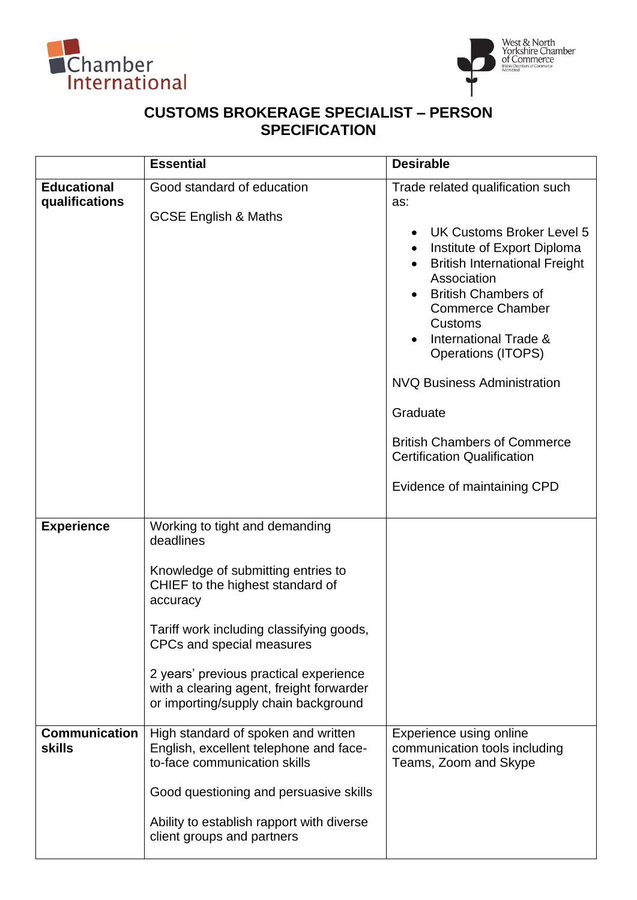



## **CUSTOMS BROKERAGE SPECIALIST – PERSON SPECIFICATION**

|                                       | <b>Essential</b>                                                                                                                                                                                                                                                                                                                         | <b>Desirable</b>                                                                                                                                                                                                                                                                                                                                                                                                                                                |
|---------------------------------------|------------------------------------------------------------------------------------------------------------------------------------------------------------------------------------------------------------------------------------------------------------------------------------------------------------------------------------------|-----------------------------------------------------------------------------------------------------------------------------------------------------------------------------------------------------------------------------------------------------------------------------------------------------------------------------------------------------------------------------------------------------------------------------------------------------------------|
| <b>Educational</b><br>qualifications  | Good standard of education<br><b>GCSE English &amp; Maths</b>                                                                                                                                                                                                                                                                            | Trade related qualification such<br>as:<br>UK Customs Broker Level 5<br>$\bullet$<br>Institute of Export Diploma<br><b>British International Freight</b><br>Association<br><b>British Chambers of</b><br><b>Commerce Chamber</b><br>Customs<br>International Trade &<br><b>Operations (ITOPS)</b><br><b>NVQ Business Administration</b><br>Graduate<br><b>British Chambers of Commerce</b><br><b>Certification Qualification</b><br>Evidence of maintaining CPD |
| <b>Experience</b>                     | Working to tight and demanding<br>deadlines<br>Knowledge of submitting entries to<br>CHIEF to the highest standard of<br>accuracy<br>Tariff work including classifying goods,<br>CPCs and special measures<br>2 years' previous practical experience<br>with a clearing agent, freight forwarder<br>or importing/supply chain background |                                                                                                                                                                                                                                                                                                                                                                                                                                                                 |
| <b>Communication</b><br><b>skills</b> | High standard of spoken and written<br>English, excellent telephone and face-<br>to-face communication skills<br>Good questioning and persuasive skills<br>Ability to establish rapport with diverse<br>client groups and partners                                                                                                       | Experience using online<br>communication tools including<br>Teams, Zoom and Skype                                                                                                                                                                                                                                                                                                                                                                               |